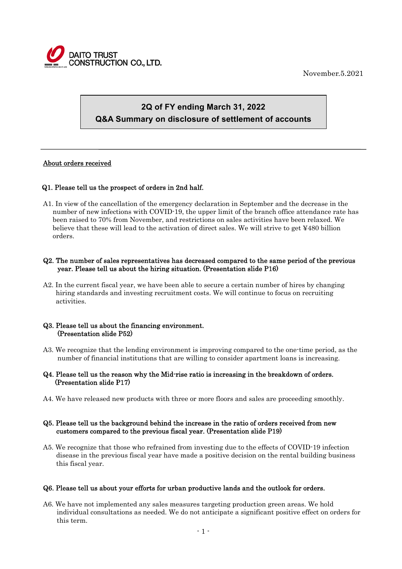

November.5.2021

# **2Q of FY ending March 31, 2022 Q&A Summary on disclosure of settlement of accounts**

# About orders received

 $\overline{a}$ 

# Q1. Please tell us the prospect of orders in 2nd half.

A1. In view of the cancellation of the emergency declaration in September and the decrease in the number of new infections with COVID-19, the upper limit of the branch office attendance rate has been raised to 70% from November, and restrictions on sales activities have been relaxed. We believe that these will lead to the activation of direct sales. We will strive to get ¥480 billion orders.

# Q2. The number of sales representatives has decreased compared to the same period of the previous year. Please tell us about the hiring situation. (Presentation slide P16)

A2. In the current fiscal year, we have been able to secure a certain number of hires by changing hiring standards and investing recruitment costs. We will continue to focus on recruiting activities.

#### Q3. Please tell us about the financing environment. (Presentation slide P52)

A3. We recognize that the lending environment is improving compared to the one-time period, as the number of financial institutions that are willing to consider apartment loans is increasing.

# Q4. Please tell us the reason why the Mid-rise ratio is increasing in the breakdown of orders. (Presentation slide P17)

A4. We have released new products with three or more floors and sales are proceeding smoothly.

# Q5. Please tell us the background behind the increase in the ratio of orders received from new customers compared to the previous fiscal year. (Presentation slide P19)

A5. We recognize that those who refrained from investing due to the effects of COVID-19 infection disease in the previous fiscal year have made a positive decision on the rental building business this fiscal year.

# Q6. Please tell us about your efforts for urban productive lands and the outlook for orders.

A6. We have not implemented any sales measures targeting production green areas. We hold individual consultations as needed. We do not anticipate a significant positive effect on orders for this term.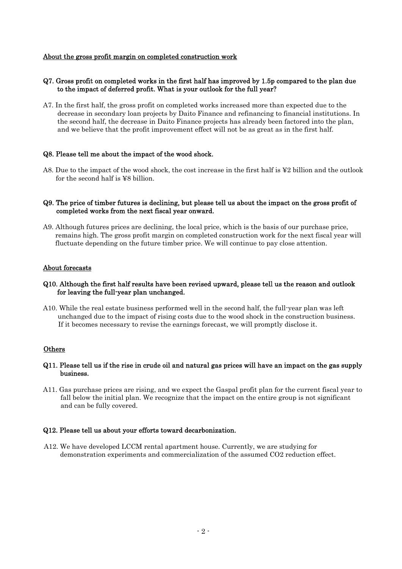#### About the gross profit margin on completed construction work

# Q7. Gross profit on completed works in the first half has improved by 1.5p compared to the plan due to the impact of deferred profit. What is your outlook for the full year?

A7. In the first half, the gross profit on completed works increased more than expected due to the decrease in secondary loan projects by Daito Finance and refinancing to financial institutions. In the second half, the decrease in Daito Finance projects has already been factored into the plan, and we believe that the profit improvement effect will not be as great as in the first half.

#### Q8. Please tell me about the impact of the wood shock.

A8. Due to the impact of the wood shock, the cost increase in the first half is ¥2 billion and the outlook for the second half is ¥8 billion.

#### Q9. The price of timber futures is declining, but please tell us about the impact on the gross profit of completed works from the next fiscal year onward.

A9. Although futures prices are declining, the local price, which is the basis of our purchase price, remains high. The gross profit margin on completed construction work for the next fiscal year will fluctuate depending on the future timber price. We will continue to pay close attention.

#### About forecasts

# Q10. Although the first half results have been revised upward, please tell us the reason and outlook for leaving the full-year plan unchanged.

A10. While the real estate business performed well in the second half, the full-year plan was left unchanged due to the impact of rising costs due to the wood shock in the construction business. If it becomes necessary to revise the earnings forecast, we will promptly disclose it.

# **Others**

# Q11. Please tell us if the rise in crude oil and natural gas prices will have an impact on the gas supply business.

A11. Gas purchase prices are rising, and we expect the Gaspal profit plan for the current fiscal year to fall below the initial plan. We recognize that the impact on the entire group is not significant and can be fully covered.

#### Q12. Please tell us about your efforts toward decarbonization.

A12. We have developed LCCM rental apartment house. Currently, we are studying for demonstration experiments and commercialization of the assumed CO2 reduction effect.